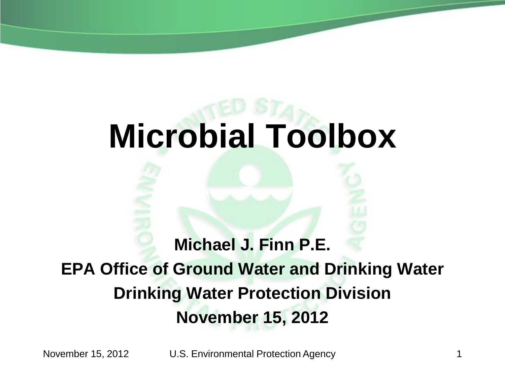# **Microbial Toolbox**

#### **Michael J. Finn P.E. EPA Office of Ground Water and Drinking Water Drinking Water Protection Division November 15, 2012**

November 15, 2012 U.S. Environmental Protection Agency 1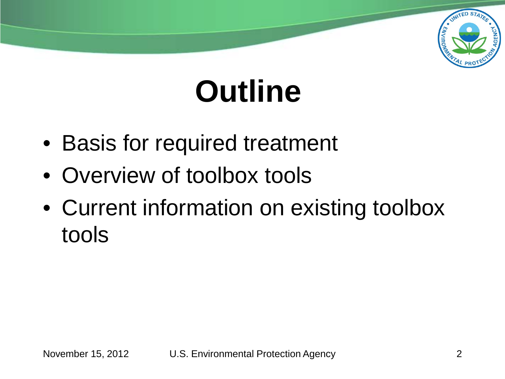

## **Outline**

- Basis for required treatment
- Overview of toolbox tools
- Current information on existing toolbox tools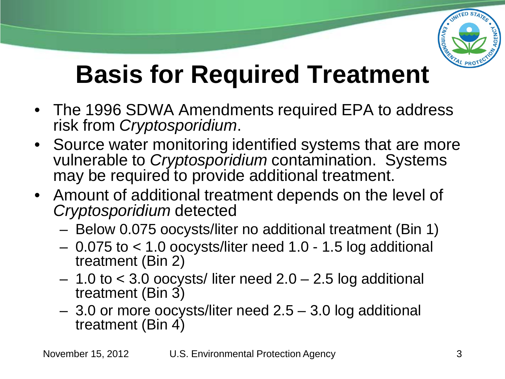

### **Basis for Required Treatment**

- The 1996 SDWA Amendments required EPA to address risk from *Cryptosporidium*.
- Source water monitoring identified systems that are more vulnerable to *Cryptosporidium* contamination. Systems may be required to provide additional treatment.
- Amount of additional treatment depends on the level of *Cryptosporidium* detected
	- Below 0.075 oocysts/liter no additional treatment (Bin 1)
	- 0.075 to < 1.0 oocysts/liter need 1.0 1.5 log additional treatment (Bin 2)
	- 1.0 to < 3.0 oocysts/ liter need 2.0 2.5 log additional treatment (Bin 3)
	- 3.0 or more oocysts/liter need 2.5 3.0 log additional treatment (Bin 4)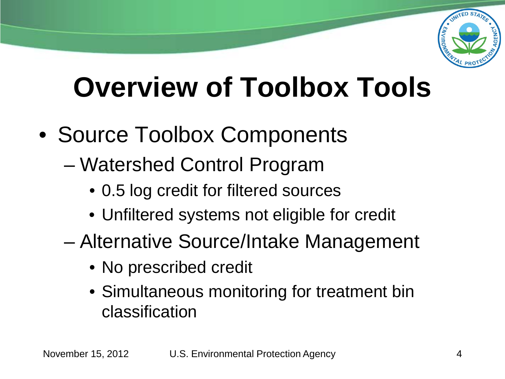

## **Overview of Toolbox Tools**

- Source Toolbox Components
	- Watershed Control Program
		- 0.5 log credit for filtered sources
		- Unfiltered systems not eligible for credit
	- Alternative Source/Intake Management
		- No prescribed credit
		- Simultaneous monitoring for treatment bin classification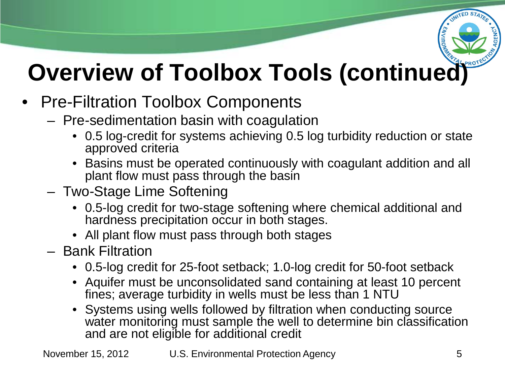

- Pre-Filtration Toolbox Components
	- Pre-sedimentation basin with coagulation
		- 0.5 log-credit for systems achieving 0.5 log turbidity reduction or state approved criteria
		- Basins must be operated continuously with coagulant addition and all plant flow must pass through the basin
	- Two-Stage Lime Softening
		- 0.5-log credit for two-stage softening where chemical additional and hardness precipitation occur in both stages.
		- All plant flow must pass through both stages
	- Bank Filtration
		- 0.5-log credit for 25-foot setback; 1.0-log credit for 50-foot setback
		- Aquifer must be unconsolidated sand containing at least 10 percent fines; average turbidity in wells must be less than 1 NTU
		- Systems using wells followed by filtration when conducting source water monitoring must sample the well to determine bin classification and are not eligible for additional credit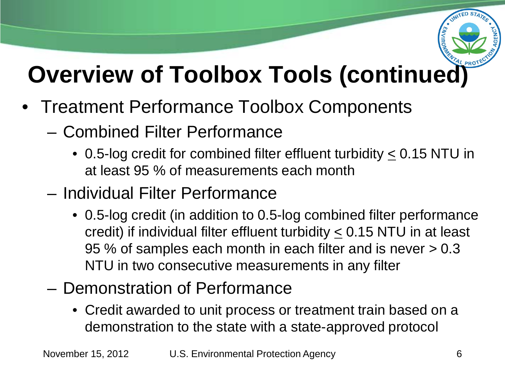

- Treatment Performance Toolbox Components
	- Combined Filter Performance
		- 0.5-log credit for combined filter effluent turbidity  $\leq$  0.15 NTU in at least 95 % of measurements each month
	- Individual Filter Performance
		- 0.5-log credit (in addition to 0.5-log combined filter performance credit) if individual filter effluent turbidity < 0.15 NTU in at least 95 % of samples each month in each filter and is never > 0.3 NTU in two consecutive measurements in any filter
	- Demonstration of Performance
		- Credit awarded to unit process or treatment train based on a demonstration to the state with a state-approved protocol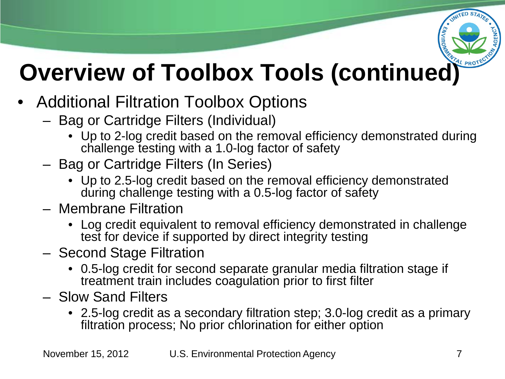

- Additional Filtration Toolbox Options
	- Bag or Cartridge Filters (Individual)
		- Up to 2-log credit based on the removal efficiency demonstrated during challenge testing with a 1.0-log factor of safety
	- Bag or Cartridge Filters (In Series)
		- Up to 2.5-log credit based on the removal efficiency demonstrated during challenge testing with a 0.5-log factor of safety
	- Membrane Filtration
		- Log credit equivalent to removal efficiency demonstrated in challenge test for device if supported by direct integrity testing
	- Second Stage Filtration
		- 0.5-log credit for second separate granular media filtration stage if treatment train includes coagulation prior to first filter
	- Slow Sand Filters
		- 2.5-log credit as a secondary filtration step; 3.0-log credit as a primary filtration process; No prior chlorination for either option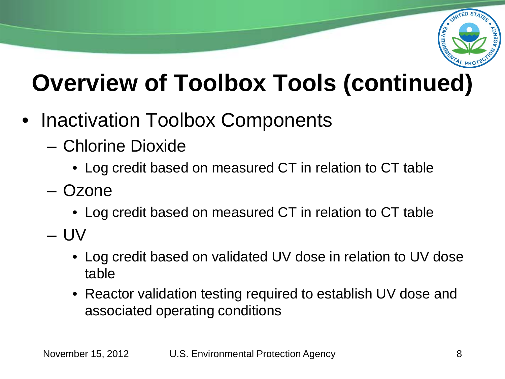

- Inactivation Toolbox Components
	- Chlorine Dioxide
		- Log credit based on measured CT in relation to CT table
	- Ozone
		- Log credit based on measured CT in relation to CT table
	- UV
		- Log credit based on validated UV dose in relation to UV dose table
		- Reactor validation testing required to establish UV dose and associated operating conditions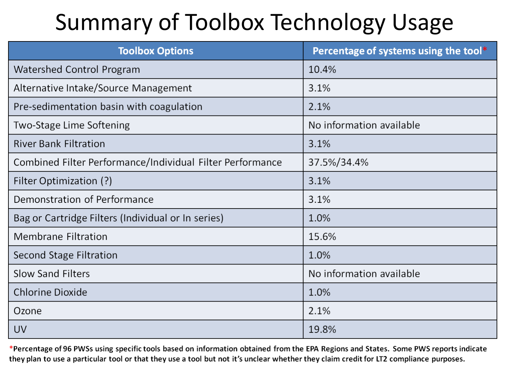#### Summary of Toolbox Technology Usage

| <b>Toolbox Options</b>                                    | Percentage of systems using the tool* |
|-----------------------------------------------------------|---------------------------------------|
| Watershed Control Program                                 | 10.4%                                 |
| Alternative Intake/Source Management                      | 3.1%                                  |
| Pre-sedimentation basin with coagulation                  | 2.1%                                  |
| Two-Stage Lime Softening                                  | No information available              |
| <b>River Bank Filtration</b>                              | 3.1%                                  |
| Combined Filter Performance/Individual Filter Performance | 37.5%/34.4%                           |
| Filter Optimization (?)                                   | 3.1%                                  |
| Demonstration of Performance                              | 3.1%                                  |
| Bag or Cartridge Filters (Individual or In series)        | 1.0%                                  |
| <b>Membrane Filtration</b>                                | 15.6%                                 |
| Second Stage Filtration                                   | 1.0%                                  |
| <b>Slow Sand Filters</b>                                  | No information available              |
| <b>Chlorine Dioxide</b>                                   | 1.0%                                  |
| Ozone                                                     | 2.1%                                  |
| UV                                                        | 19.8%                                 |

\*Percentage of 96 PWSs using specific tools based on information obtained from the EPA Regions and States. Some PWS reports indicate they plan to use a particular tool or that they use a tool but not it's unclear whether they claim credit for LT2 compliance purposes.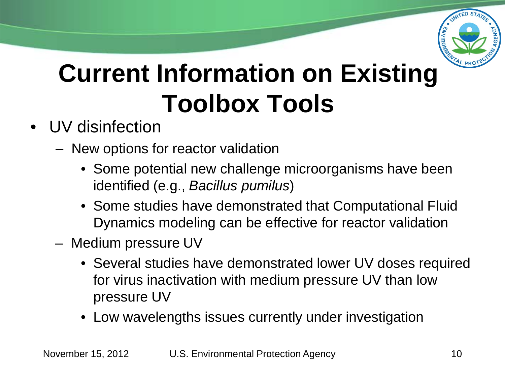

### **Current Information on Existing Toolbox Tools**

- UV disinfection
	- New options for reactor validation
		- Some potential new challenge microorganisms have been identified (e.g., *Bacillus pumilus*)
		- Some studies have demonstrated that Computational Fluid Dynamics modeling can be effective for reactor validation
	- Medium pressure UV
		- Several studies have demonstrated lower UV doses required for virus inactivation with medium pressure UV than low pressure UV
		- Low wavelengths issues currently under investigation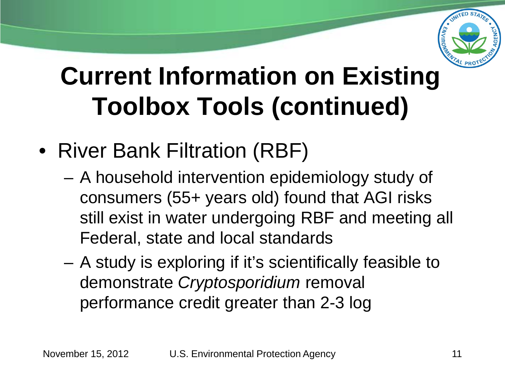

#### **Current Information on Existing Toolbox Tools (continued)**

- River Bank Filtration (RBF)
	- A household intervention epidemiology study of consumers (55+ years old) found that AGI risks still exist in water undergoing RBF and meeting all Federal, state and local standards
	- A study is exploring if it's scientifically feasible to demonstrate *Cryptosporidium* removal performance credit greater than 2-3 log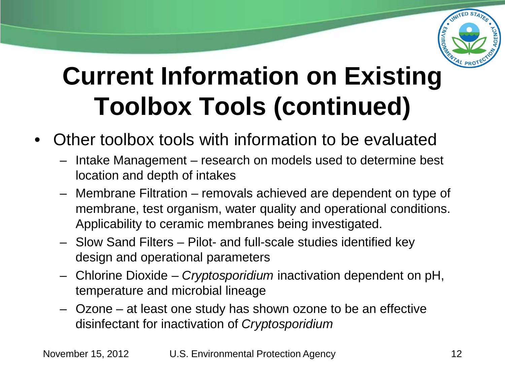

#### **Current Information on Existing Toolbox Tools (continued)**

- Other toolbox tools with information to be evaluated
	- Intake Management research on models used to determine best location and depth of intakes
	- Membrane Filtration removals achieved are dependent on type of membrane, test organism, water quality and operational conditions. Applicability to ceramic membranes being investigated.
	- Slow Sand Filters Pilot- and full-scale studies identified key design and operational parameters
	- Chlorine Dioxide *Cryptosporidium* inactivation dependent on pH, temperature and microbial lineage
	- Ozone at least one study has shown ozone to be an effective disinfectant for inactivation of *Cryptosporidium*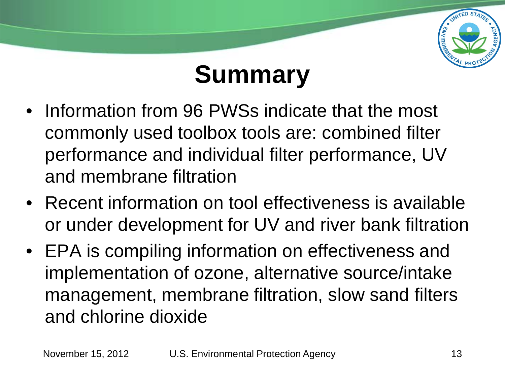

#### **Summary**

- Information from 96 PWSs indicate that the most commonly used toolbox tools are: combined filter performance and individual filter performance, UV and membrane filtration
- Recent information on tool effectiveness is available or under development for UV and river bank filtration
- EPA is compiling information on effectiveness and implementation of ozone, alternative source/intake management, membrane filtration, slow sand filters and chlorine dioxide